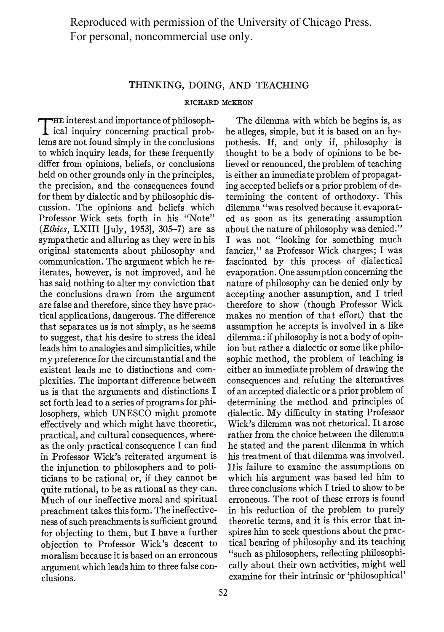Reproduced with permission of the University of Chicago Press. For personal, noncommercial use only.

## **THINKING, DOING, AND TEACHING**

## **RTCHARD McKEON**

**THE interest and importance of philosophical inquiry concerning practical problems are not found simply in the conclusions to which inquiry leads, for these frequently differ from opinions, beliefs, or conclusions held on other grounds only in the principles, the precision, and the consequences found for them by dialectic and by philosophic discussion. The opinions and beliefs which Professor Wick sets forth in his "Note" (Ethics, LXIII [July, 1953], 305-7) are as sympathetic and alluring as they were in his original statements about philosophy and communication. The argument which he reiterates, however, is not improved, and he has said nothing to alter my conviction that the conclusions drawn from the argument are false and therefore, since they have practical applications, dangerous. The difference that separates us is not simply, as he seems to suggest, that his desire to stress the ideal leads him to analogies and simplicities, while my preference for the circumstantial and the existent leads me to distinctions and complexities. The important difference between us is that the arguments and distinctions I set forth lead to a series of programs for philosophers, which UNESCO might promote effectively and which might have theoretic, practical, and cultural consequences, whereas the only practical consequence I can find in Professor Wick's reiterated argument is the injunction to philosophers and to politicians to be rational or, if they cannot be quite rational, to be as rational as they can. Much of our ineffective moral and spiritual preachment takes this form. The ineffectiveness of such preachments is sufficient ground for objecting to them, but I have a further objection to Professor Wick's descent to moralism because it is based on an erroneous argument which leads him to three false conclusions.** 

**The dilemma with which he begins is, as he alleges, simple, but it is based on an hypothesis. If, and only if, philosophy is thought to be a body of opinions to be believed or renounced, the problem of teaching is either an immediate problem of propagating accepted beliefs or a prior problem of determining the content of orthodoxy. This dilemma "was resolved because it evaporated as soon as its generating assumption about the nature of philosophy was denied." I was not "looking for something much fancier,'' as Professor Wick charges; I was fascinated by this process of dialectical evaporation. One assumption concerning the nature of philosophy can be denied only by accepting another assumption, and I tried therefore to show (though Professor Wick makes no mention of that effort) that the assumption he accepts is involved in a like dilemma: if philosophy is not a body of opinion but rather a dialectic or some like philosophic method, the problem of teaching is either an immediate problem of drawing the consequences and refuting the alternatives of an accepted dialectic or a prior problem of determining the method and principles of dialectic. My difficulty in stating Professor Wick's dilemma was not rhetorical. It arose rather from the choice between the dilemma he stated and the parent dilemma in which his treatment of that dilemma was involved. His failure to examine the assumptions on which his argument was based led him to three conclusions which I tried to show to be erroneous. The root of these errors is found in his reduction of the problem to purely theoretic terms, and it is this error that inspires him to seek questions about the practical bearing of philosophy and its teaching "such as philosophers, reflecting philosophically about their own activities, might well examine for their intrinsic or 'philosophical'**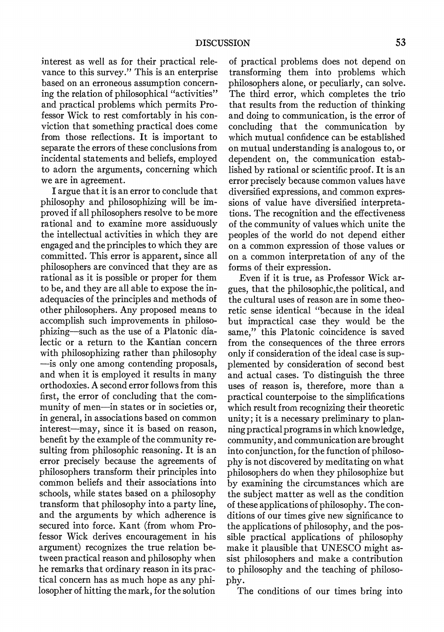**interest as well as for their practical relevance to this survey." This is an enterprise based on an erroneous assumption concerning the relation of philosophical "activities" and practical problems which permits Professor Wick to rest comfortably in his conviction that something practical does come from those reflections. It is important to separate the errors of these conclusions from incidental statements and beliefs, employed to adorn the arguments, concerning which we are in agreement.** 

**I argue that it is an error to conclude that philosophy and philosophizing will be improved if all philosophers resolve to be more rational and to examine more assiduously the intellectual activities in which they are engaged and the principles to which they are committed. This error is apparent, since all philosophers are convinced that they are as rational as it is possible or proper for them to be, and they are all able to expose the inadequacies of the principles and methods of other philosophers. Any proposed means to accomplish such improvements in philosophizing-such as the use of a Platonic dialectic or a return to the Kantian concern with philosophizing rather than philosophy -is only one among contending proposals, and when it is employed it results in many orthodoxies. A second error follows from this first, the error of concluding that the community of men-in states or in societies or, in general, in associations based on common**  interest—may, since it is based on reason, **benefit by the example of the community resulting from philosophic reasoning. It is an error precisely because the agreements of philosophers transform their principles into common beliefs and their associations into schools, while states based on a philosophy transform that philosophy into a party line, and the arguments by which adherence is secured into force. Kant (from whom Professor Wick derives encouragement in his argument) recognizes the true relation between practical reason and philosophy when he remarks that ordinary reason in its practical concern has as much hope as any philosopher of hitting the mark, for the solution** 

**of practical problems does not depend on transforming them into problems which philosophers alone, or peculiarly, can solve. The third error, which completes the trio that results from the reduction of thinking and doing to communication, is the error of concluding that the communication by which mutual confidence can be established on mutual understanding is analogous to, or dependent on, the communication established by rational or scientific proof. It is an error precisely because common values have diversified expressions, and common expressions of value have diversified interpretations. The recognition and the effectiveness of the community of values which unite the peoples of the world do not depend either on a common expression of those values or on a common interpretation of any of the forms of their expression.** 

**Even if it is true, as Professor Wick argues, that the philosophic,the political, and the cultural uses of reason are in some theoretic sense identical "because in the ideal but impractical case they would be the same," this Platonic coincidence is saved from the consequences of the three errors only if consideration of the ideal case is supplemented by consideration of second best and actual cases. To distinguish the three uses of reason is, therefore, more than a practical counterpoise to the simplifications which result from recognizing their theoretic unity; it is a necessary preliminary to planning practical programs in which knowledge, community, and communication are brought into conjunction, for the function of philosophy is not discovered by meditating on what philosophers do when they philosophize but by examining the circumstances which are the subject matter as well as the condition of these applications of philosophy. The conditions of our times give new significance to the applications of philosophy, and the possible practical applications of philosophy make it plausible that UNESCO might assist philosophers and make a contribution to philosophy and the teaching of philosophy.** 

**The conditions of our times bring into**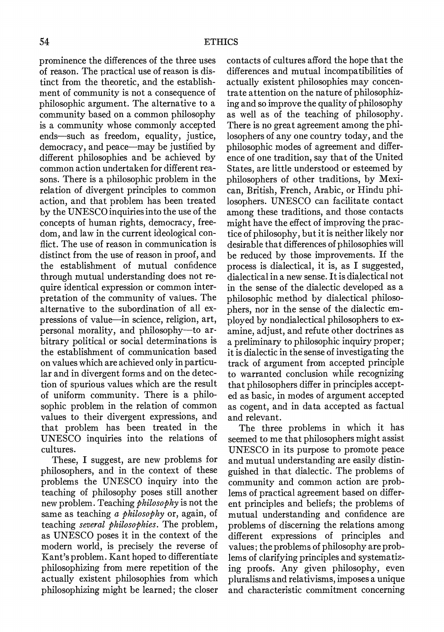**prominence the differences of the three uses of reason. The practical use of reason is distinct from the theoretic, and the establishment of community is not a consequence of philosophic argument. The alternative to a community based on a common philosophy is a community whose commonly accepted ends-such as freedom, equality, justice, democracy, and peace-may be justified by different philosophies and be achieved by common action undertaken for different reasons. There is a philosophic problem in the relation of divergent principles to common action, and that problem has been treated by the UNESCO inquiries into the use of the concepts of human rights, democracy, freedom, and law in the current ideological conflict. The use of reason in communication is distinct from the use of reason in proof, and the establishment of mutual confidence through mutual understanding does not require identical expression or common interpretation of the community of values. The alternative to the subordination of all expressions of value-in science, religion, art, personal morality, and philosophy-to arbitrary political or social determinations is the establishment of communication based on values which are achieved only in particular and in divergent forms and on the detection of spurious values which are the result of uniform community. There is a philosophic problem in the relation of common values to their divergent expressions, and that problem has been treated in the UNESCO inquiries into the relations of cultures.** 

**These, I suggest, are new problems for philosophers, and in the context of these problems the UNESCO inquiry into the teaching of philosophy poses still another new problem. Teaching philosophy is not the same as teaching a philosophy or, again, of teaching several philosophies. The problem, as UNESCO poses it in the context of the modern world, is precisely the reverse of Kant's problem. Kant hoped to differentiate philosophizing from mere repetition of the actually existent philosophies from which philosophizing might be learned; the closer**  **contacts of cultures afford the hope that the differences and mutual incompatibilities of actually existent philosophies may concentrate attention on the nature of philosophizing and so improve the quality of philosophy as well as of the teaching of philosophy. There is no great agreement among the philosophers of any one country today, and the philosophic modes of agreement and difference of one tradition, say that of the United States, are little understood or esteemed by philosophers of other traditions, by Mexican, British, French, Arabic, or Hindu philosophers. UNESCO can facilitate contact among these traditions, and those contacts might have the effect of improving the practice of philosophy, but it is neither likely nor desirable that differences of philosophies will be reduced by those improvements. If the process is dialectical, it is, as I suggested, dialectical in a new sense. It is dialectical not in the sense of the dialectic developed as a philosophic method by dialectical philosophers, nor in the sense of the dialectic employed by nondialectical philosophers to examine, adjust, and refute other doctrines as a preliminary to philosophic inquiry proper; it is dialectic in the sense of investigating the track of argument from accepted principle to warranted conclusion while recognizing that philosophers differ in principles accepted as basic, in modes of argument accepted as cogent, and in data accepted as factual and relevant.** 

**The three problems in which it has seemed to me that philosophers might assist UNESCO in its purpose to promote peace and mutual understanding are easily distinguished in that dialectic. The problems of community and common action are problems of practical agreement based on different principles and beliefs; the problems of mutual understanding and confidence are problems of discerning the relations among different expressions of principles and values; the problems of philosophy are problems of clarifying principles and systematizing proofs. Any given philosophy, even pluralisms and relativisms, imposes a unique and characteristic commitment concerning**